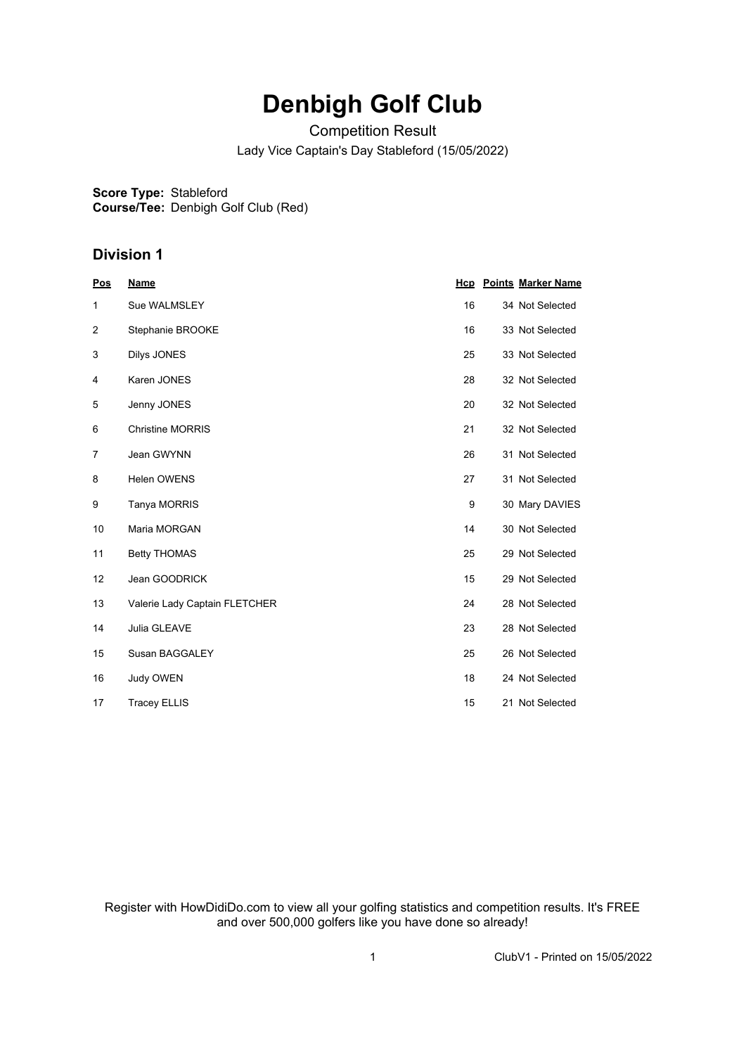# **Denbigh Golf Club**

Competition Result

Lady Vice Captain's Day Stableford (15/05/2022)

**Score Type:** Stableford **Course/Tee:** Denbigh Golf Club (Red)

### **Division 1**

| Pos            | <b>Name</b>                   |    | <b>Hcp</b> Points Marker Name |
|----------------|-------------------------------|----|-------------------------------|
| 1              | Sue WALMSLEY                  | 16 | 34 Not Selected               |
| $\overline{2}$ | Stephanie BROOKE              | 16 | 33 Not Selected               |
| 3              | Dilys JONES                   | 25 | 33 Not Selected               |
| 4              | Karen JONES                   | 28 | 32 Not Selected               |
| 5              | Jenny JONES                   | 20 | 32 Not Selected               |
| 6              | <b>Christine MORRIS</b>       | 21 | 32 Not Selected               |
| 7              | Jean GWYNN                    | 26 | 31 Not Selected               |
| 8              | <b>Helen OWENS</b>            | 27 | 31 Not Selected               |
| 9              | Tanya MORRIS                  | 9  | 30 Mary DAVIES                |
| 10             | Maria MORGAN                  | 14 | 30 Not Selected               |
| 11             | <b>Betty THOMAS</b>           | 25 | 29 Not Selected               |
| 12             | Jean GOODRICK                 | 15 | 29 Not Selected               |
| 13             | Valerie Lady Captain FLETCHER | 24 | 28 Not Selected               |
| 14             | Julia GLEAVE                  | 23 | 28 Not Selected               |
| 15             | Susan BAGGALEY                | 25 | 26 Not Selected               |
| 16             | <b>Judy OWEN</b>              | 18 | 24 Not Selected               |
| 17             | <b>Tracey ELLIS</b>           | 15 | 21 Not Selected               |

Register with HowDidiDo.com to view all your golfing statistics and competition results. It's FREE and over 500,000 golfers like you have done so already!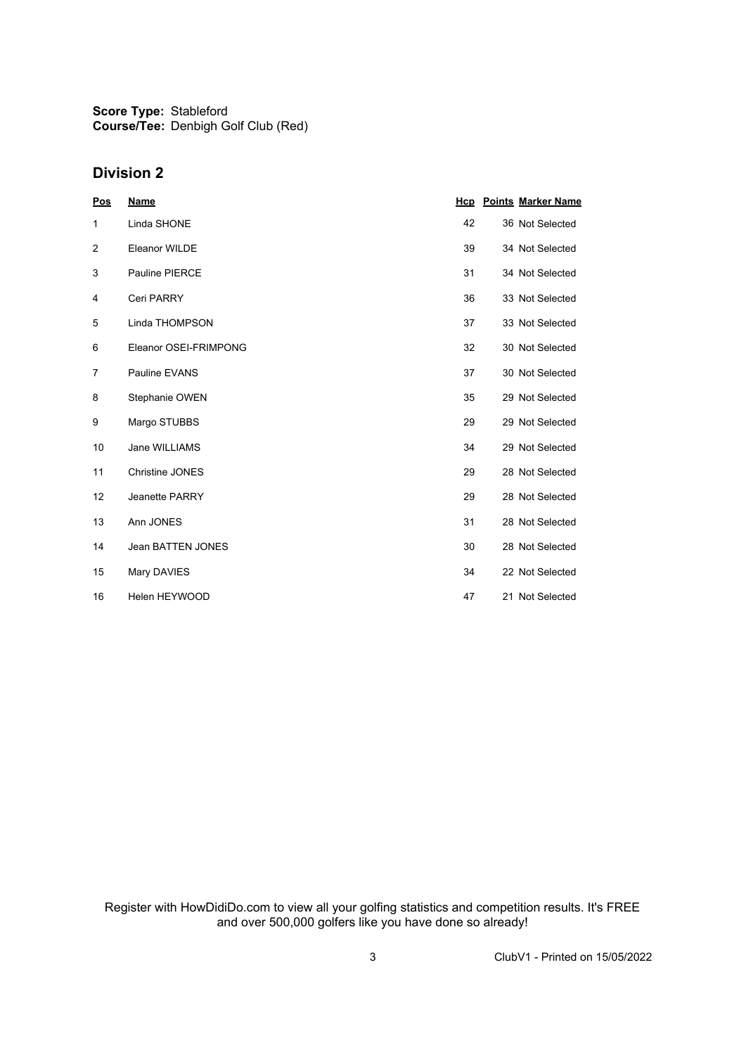**Score Type:** Stableford **Course/Tee:** Denbigh Golf Club (Red)

#### **Division 2**

| <u>Pos</u>     | <b>Name</b>            |    | <b>Hcp</b> Points Marker Name |
|----------------|------------------------|----|-------------------------------|
| 1              | Linda SHONE            | 42 | 36 Not Selected               |
| $\overline{2}$ | Eleanor WILDE          | 39 | 34 Not Selected               |
| 3              | <b>Pauline PIERCE</b>  | 31 | 34 Not Selected               |
| 4              | Ceri PARRY             | 36 | 33 Not Selected               |
| 5              | Linda THOMPSON         | 37 | 33 Not Selected               |
| 6              | Eleanor OSEI-FRIMPONG  | 32 | 30 Not Selected               |
| $\overline{7}$ | Pauline EVANS          | 37 | 30 Not Selected               |
| 8              | Stephanie OWEN         | 35 | 29 Not Selected               |
| 9              | Margo STUBBS           | 29 | 29 Not Selected               |
| 10             | Jane WILLIAMS          | 34 | 29 Not Selected               |
| 11             | <b>Christine JONES</b> | 29 | 28 Not Selected               |
| 12             | <b>Jeanette PARRY</b>  | 29 | 28 Not Selected               |
| 13             | Ann JONES              | 31 | 28 Not Selected               |
| 14             | Jean BATTEN JONES      | 30 | 28 Not Selected               |
| 15             | Mary DAVIES            | 34 | 22 Not Selected               |
| 16             | Helen HEYWOOD          | 47 | 21 Not Selected               |

Register with HowDidiDo.com to view all your golfing statistics and competition results. It's FREE and over 500,000 golfers like you have done so already!